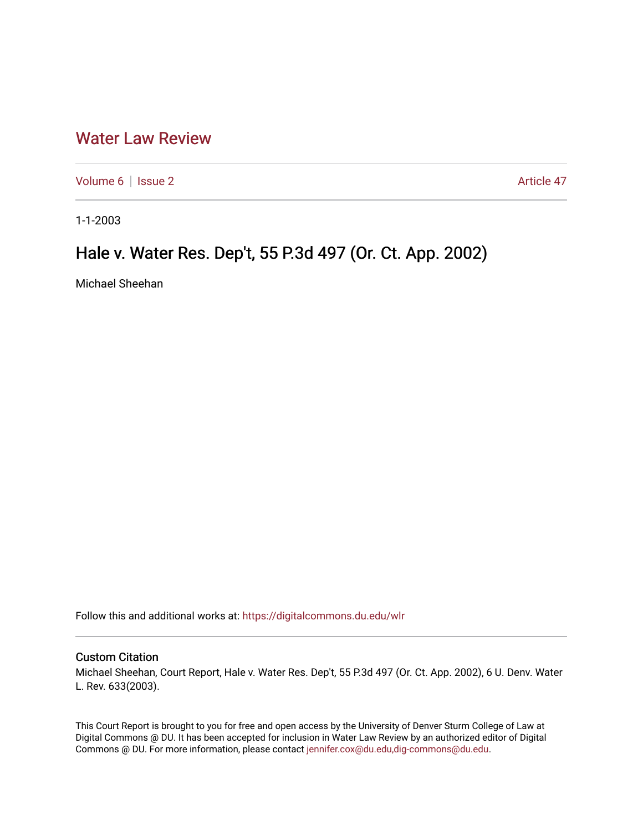## [Water Law Review](https://digitalcommons.du.edu/wlr)

[Volume 6](https://digitalcommons.du.edu/wlr/vol6) | [Issue 2](https://digitalcommons.du.edu/wlr/vol6/iss2) Article 47

1-1-2003

## Hale v. Water Res. Dep't, 55 P.3d 497 (Or. Ct. App. 2002)

Michael Sheehan

Follow this and additional works at: [https://digitalcommons.du.edu/wlr](https://digitalcommons.du.edu/wlr?utm_source=digitalcommons.du.edu%2Fwlr%2Fvol6%2Fiss2%2F47&utm_medium=PDF&utm_campaign=PDFCoverPages) 

## Custom Citation

Michael Sheehan, Court Report, Hale v. Water Res. Dep't, 55 P.3d 497 (Or. Ct. App. 2002), 6 U. Denv. Water L. Rev. 633(2003).

This Court Report is brought to you for free and open access by the University of Denver Sturm College of Law at Digital Commons @ DU. It has been accepted for inclusion in Water Law Review by an authorized editor of Digital Commons @ DU. For more information, please contact [jennifer.cox@du.edu,dig-commons@du.edu.](mailto:jennifer.cox@du.edu,dig-commons@du.edu)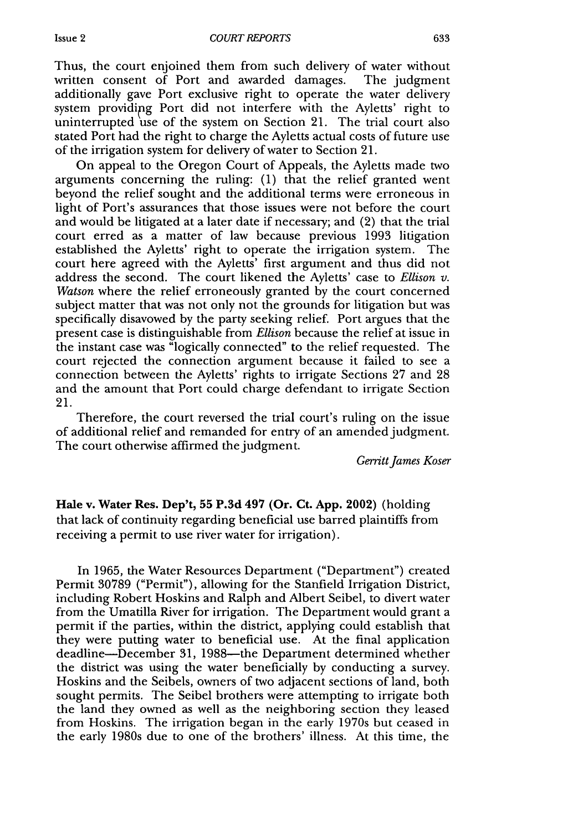Thus, the court enjoined them from such delivery of water without written consent of Port and awarded damages. The judgment additionally gave Port exclusive right to operate the water delivery system providipg Port did not interfere with the Ayletts' right to uninterrupted use of the system on Section 21. The trial court also stated Port had the right to charge the Ayletts actual costs of future use of the irrigation system for delivery of water to Section 21.

On appeal to the Oregon Court of Appeals, the Ayletts made two arguments concerning the ruling: (1) that the relief granted went beyond the relief sought and the additional terms were erroneous in light of Port's assurances that those issues were not before the court and would be litigated at a later date if necessary; and (2) that the trial court erred as a matter of law because previous 1993 litigation established the Ayletts' right to operate the irrigation system. The court here agreed with the Ayletts' first argument and thus did not address the second. The court likened the Ayletts' case to *Ellison v. Watson* where the relief erroneously granted by the court concerned subject matter that was not only not the grounds for litigation but was specifically disavowed by the party seeking relief. Port argues that the present case is distinguishable from *Ellison* because the relief at issue in the instant case was "logically connected" to the relief requested. The court rejected the connection argument because it failed to see a connection between the Ayletts' rights to irrigate Sections 27 and 28 and the amount that Port could charge defendant to irrigate Section 21.

Therefore, the court reversed the trial court's ruling on the issue of additional relief and remanded for entry of an amended judgment. The court otherwise affirmed the judgment.

*Gerritt James Koser*

**Hale v.** Water **Res. Dep't, 55 P.3d 497 (Or. Ct. App. 2002)** (holding that lack of continuity regarding beneficial use barred plaintiffs from receiving a permit to use river water for irrigation).

In 1965, the Water Resources Department ("Department") created Permit 30789 ("Permit"), allowing for the Stanfield Irrigation District, including Robert Hoskins and Ralph and Albert Seibel, to divert water from the Umatilla River for irrigation. The Department would grant a permit if the parties, within the district, applying could establish that they were putting water to beneficial use. At the final application deadline-December 31, 1988-the Department determined whether the district was using the water beneficially by conducting a survey. Hoskins and the Seibels, owners of two adjacent sections of land, both sought permits. The Seibel brothers were attempting to irrigate both the land they owned as well as the neighboring section they leased from Hoskins. The irrigation began in the early 1970s but ceased in the early 1980s due to one of the brothers' illness. At this time, the